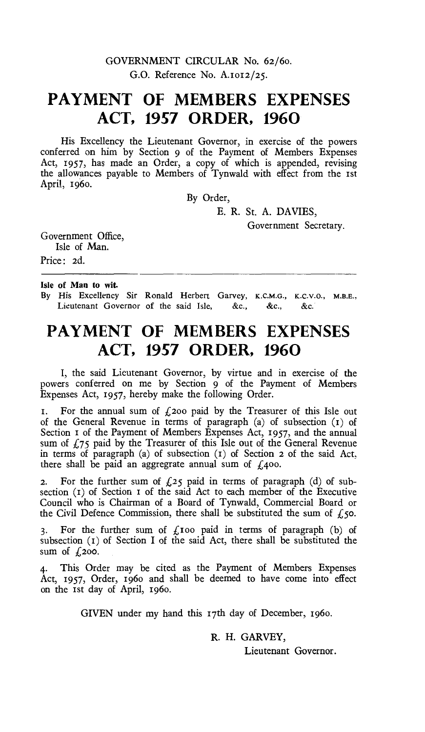### GOVERNMENT CIRCULAR No. 62/60. G.O. Reference No. A.1012/25.

# **PAYMENT OF MEMBERS EXPENSES ACT, 1957 ORDER, 1960**

His Excellency the Lieutenant Governor, in exercise of the powers conferred on him by Section 9 of the Payment of Members Expenses Act, 1957, has made an Order, a copy of which is appended, revising the allowances payable to Members of Tynwald with effect from the 1st April, 196o.

By Order,

E. R. St. A. DAVIES,

Government Secretary.

Government Office, Isle of Man.

Price: 2d.

#### Isle of Man to wit.

By His Excellency Sir Ronald Herbert Garvey, K.C.M.G., K.C.V.O., M.B.E., Lieutenant Governor of the said Isle, &c., &c., &c.

# **PAYMENT OF MEMBERS EXPENSES ACT, 1957 ORDER, 1960**

I, the said Lieutenant Governor, by virtue and in exercise of the powers conferred on me by Section 9 of the Payment of Members Expenses Act, 1957, hereby make the following Order.

1. For the annual sum of  $f_2$ 200 paid by the Treasurer of this Isle out of the General Revenue in terms of paragraph (a) of subsection (t) of Section 1 of the Payment of Members Expenses Act, 1957, and the annual sum of *£75* paid by the Treasurer of this Isle out of the General Revenue in terms of paragraph (a) of subsection  $(1)$  of Section 2 of the said Act, there shall be paid an aggregrate annual sum of  $\ell$ 400.

2. For the further sum of  $f(z)$  paid in terms of paragraph (d) of subsection (t) of Section t of the said Act to each member of the Executive Council who is Chairman of a Board of Tynwald, Commercial Board or the Civil Defence Commission, there shall be substituted the sum of  $f$ , 50.

3. For the further sum of  $f_k$ 100 paid in terms of paragraph (b) of subsection (t) of Section I of the said Act, there shall be substituted the sum of  $f_1$ 200.

This Order may be cited as the Payment of Members Expenses Act, 1957, Order, 196o and shall be deemed to have come into effect on the 1st day of April, 196o.

GIVEN under my hand this t7th day of December, 196o.

R. H. GARVEY,

Lieutenant Governor.